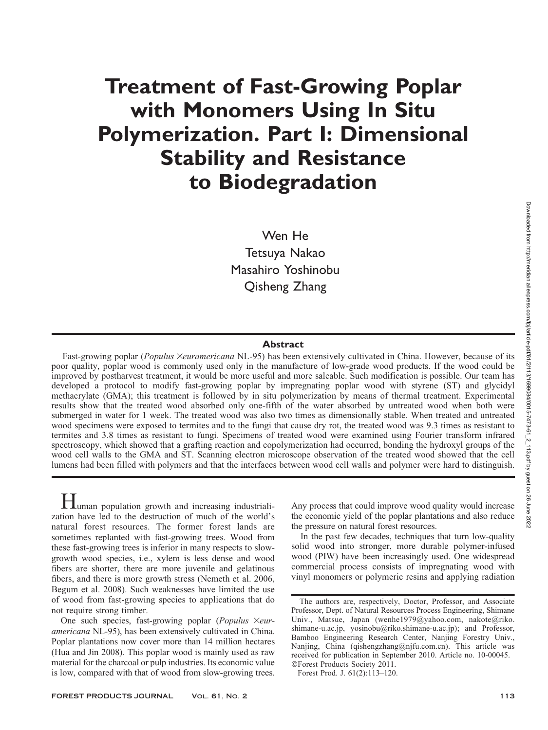# Treatment of Fast-Growing Poplar with Monomers Using In Situ Polymerization. Part I: Dimensional Stability and Resistance to Biodegradation

Wen He Tetsuya Nakao Masahiro Yoshinobu Qisheng Zhang

#### Abstract

Fast-growing poplar (Populus Xeuramericana NL-95) has been extensively cultivated in China. However, because of its poor quality, poplar wood is commonly used only in the manufacture of low-grade wood products. If the wood could be improved by postharvest treatment, it would be more useful and more saleable. Such modification is possible. Our team has developed a protocol to modify fast-growing poplar by impregnating poplar wood with styrene (ST) and glycidyl methacrylate (GMA); this treatment is followed by in situ polymerization by means of thermal treatment. Experimental results show that the treated wood absorbed only one-fifth of the water absorbed by untreated wood when both were submerged in water for 1 week. The treated wood was also two times as dimensionally stable. When treated and untreated wood specimens were exposed to termites and to the fungi that cause dry rot, the treated wood was 9.3 times as resistant to termites and 3.8 times as resistant to fungi. Specimens of treated wood were examined using Fourier transform infrared spectroscopy, which showed that a grafting reaction and copolymerization had occurred, bonding the hydroxyl groups of the wood cell walls to the GMA and ST. Scanning electron microscope observation of the treated wood showed that the cell lumens had been filled with polymers and that the interfaces between wood cell walls and polymer were hard to distinguish.

Human population growth and increasing industrialization have led to the destruction of much of the world's natural forest resources. The former forest lands are sometimes replanted with fast-growing trees. Wood from these fast-growing trees is inferior in many respects to slowgrowth wood species, i.e., xylem is less dense and wood fibers are shorter, there are more juvenile and gelatinous fibers, and there is more growth stress (Nemeth et al. 2006, Begum et al. 2008). Such weaknesses have limited the use of wood from fast-growing species to applications that do not require strong timber.

One such species, fast-growing poplar (Populus  $\times$ euramericana NL-95), has been extensively cultivated in China. Poplar plantations now cover more than 14 million hectares (Hua and Jin 2008). This poplar wood is mainly used as raw material for the charcoal or pulp industries. Its economic value is low, compared with that of wood from slow-growing trees.

Any process that could improve wood quality would increase the economic yield of the poplar plantations and also reduce the pressure on natural forest resources.

In the past few decades, techniques that turn low-quality solid wood into stronger, more durable polymer-infused wood (PIW) have been increasingly used. One widespread commercial process consists of impregnating wood with vinyl monomers or polymeric resins and applying radiation

Forest Prod. J. 61(2):113–120.

The authors are, respectively, Doctor, Professor, and Associate Professor, Dept. of Natural Resources Process Engineering, Shimane Univ., Matsue, Japan (wenhe1979@yahoo.com, nakote@riko. shimane-u.ac.jp, yosinobu@riko.shimane-u.ac.jp); and Professor, Bamboo Engineering Research Center, Nanjing Forestry Univ., Nanjing, China (qishengzhang@njfu.com.cn). This article was received for publication in September 2010. Article no. 10-00045. -Forest Products Society 2011.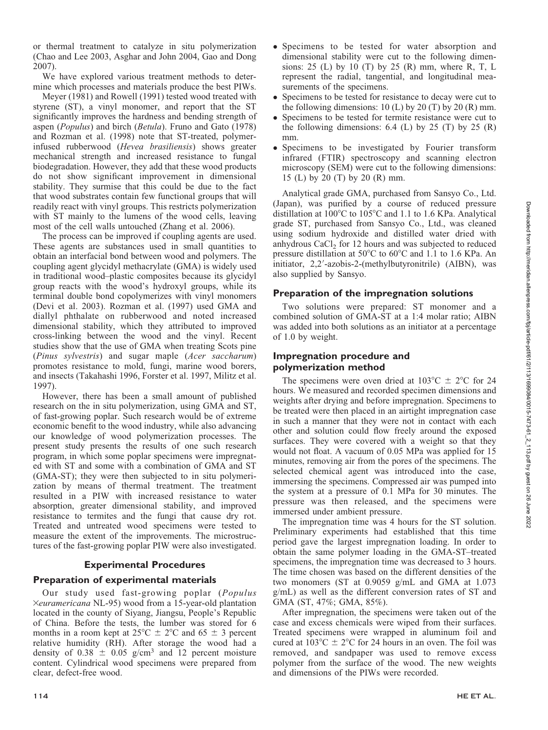or thermal treatment to catalyze in situ polymerization (Chao and Lee 2003, Asghar and John 2004, Gao and Dong 2007).

We have explored various treatment methods to determine which processes and materials produce the best PIWs.

Meyer (1981) and Rowell (1991) tested wood treated with styrene (ST), a vinyl monomer, and report that the ST significantly improves the hardness and bending strength of aspen (Populus) and birch (Betula). Fruno and Gato (1978) and Rozman et al. (1998) note that ST-treated, polymerinfused rubberwood (Hevea brasiliensis) shows greater mechanical strength and increased resistance to fungal biodegradation. However, they add that these wood products do not show significant improvement in dimensional stability. They surmise that this could be due to the fact that wood substrates contain few functional groups that will readily react with vinyl groups. This restricts polymerization with ST mainly to the lumens of the wood cells, leaving most of the cell walls untouched (Zhang et al. 2006).

The process can be improved if coupling agents are used. These agents are substances used in small quantities to obtain an interfacial bond between wood and polymers. The coupling agent glycidyl methacrylate (GMA) is widely used in traditional wood–plastic composites because its glycidyl group reacts with the wood's hydroxyl groups, while its terminal double bond copolymerizes with vinyl monomers (Devi et al. 2003). Rozman et al. (1997) used GMA and diallyl phthalate on rubberwood and noted increased dimensional stability, which they attributed to improved cross-linking between the wood and the vinyl. Recent studies show that the use of GMA when treating Scots pine (Pinus sylvestris) and sugar maple (Acer saccharum) promotes resistance to mold, fungi, marine wood borers, and insects (Takahashi 1996, Forster et al. 1997, Militz et al. 1997).

However, there has been a small amount of published research on the in situ polymerization, using GMA and ST, of fast-growing poplar. Such research would be of extreme economic benefit to the wood industry, while also advancing our knowledge of wood polymerization processes. The present study presents the results of one such research program, in which some poplar specimens were impregnated with ST and some with a combination of GMA and ST (GMA-ST); they were then subjected to in situ polymerization by means of thermal treatment. The treatment resulted in a PIW with increased resistance to water absorption, greater dimensional stability, and improved resistance to termites and the fungi that cause dry rot. Treated and untreated wood specimens were tested to measure the extent of the improvements. The microstructures of the fast-growing poplar PIW were also investigated.

## Experimental Procedures

#### Preparation of experimental materials

Our study used fast-growing poplar (Populus  $Xeuramericana NL-95$ ) wood from a 15-year-old plantation located in the county of Siyang, Jiangsu, People's Republic of China. Before the tests, the lumber was stored for 6 months in a room kept at  $25^{\circ}$ C  $\pm$  2°C and 65  $\pm$  3 percent relative humidity (RH). After storage the wood had a density of 0.38  $\pm$  0.05 g/cm<sup>3</sup> and 12 percent moisture content. Cylindrical wood specimens were prepared from clear, defect-free wood.

- $\bullet$  Specimens to be tested for water absorption and dimensional stability were cut to the following dimensions:  $25$  (L) by  $10$  (T) by  $25$  (R) mm, where R, T, L represent the radial, tangential, and longitudinal measurements of the specimens.
- $\bullet$  Specimens to be tested for resistance to decay were cut to the following dimensions:  $10$  (L) by  $20$  (T) by  $20$  (R) mm.
- Specimens to be tested for termite resistance were cut to the following dimensions:  $6.4$  (L) by  $25$  (T) by  $25$  (R) mm.
- Specimens to be investigated by Fourier transform infrared (FTIR) spectroscopy and scanning electron microscopy (SEM) were cut to the following dimensions: 15 (L) by 20 (T) by 20 (R) mm.

Analytical grade GMA, purchased from Sansyo Co., Ltd. (Japan), was purified by a course of reduced pressure distillation at  $100^{\circ}$ C to  $105^{\circ}$ C and 1.1 to 1.6 KPa. Analytical grade ST, purchased from Sansyo Co., Ltd., was cleaned using sodium hydroxide and distilled water dried with anhydrous CaCl<sub>2</sub> for 12 hours and was subjected to reduced pressure distillation at  $50^{\circ}$ C to  $60^{\circ}$ C and 1.1 to 1.6 KPa. An initiator, 2,2'-azobis-2-(methylbutyronitrile) (AIBN), was also supplied by Sansyo.

### Preparation of the impregnation solutions

Two solutions were prepared: ST monomer and a combined solution of GMA-ST at a 1:4 molar ratio; AIBN was added into both solutions as an initiator at a percentage of 1.0 by weight.

## Impregnation procedure and polymerization method

The specimens were oven dried at  $103^{\circ}C \pm 2^{\circ}C$  for 24 hours. We measured and recorded specimen dimensions and weights after drying and before impregnation. Specimens to be treated were then placed in an airtight impregnation case in such a manner that they were not in contact with each other and solution could flow freely around the exposed surfaces. They were covered with a weight so that they would not float. A vacuum of 0.05 MPa was applied for 15 minutes, removing air from the pores of the specimens. The selected chemical agent was introduced into the case, immersing the specimens. Compressed air was pumped into the system at a pressure of 0.1 MPa for 30 minutes. The pressure was then released, and the specimens were immersed under ambient pressure.

The impregnation time was 4 hours for the ST solution. Preliminary experiments had established that this time period gave the largest impregnation loading. In order to obtain the same polymer loading in the GMA-ST–treated specimens, the impregnation time was decreased to 3 hours. The time chosen was based on the different densities of the two monomers (ST at 0.9059 g/mL and GMA at 1.073 g/mL) as well as the different conversion rates of ST and GMA (ST, 47%; GMA, 85%).

After impregnation, the specimens were taken out of the case and excess chemicals were wiped from their surfaces. Treated specimens were wrapped in aluminum foil and cured at  $103^{\circ}\text{C} \pm 2^{\circ}\text{C}$  for 24 hours in an oven. The foil was removed, and sandpaper was used to remove excess polymer from the surface of the wood. The new weights and dimensions of the PIWs were recorded.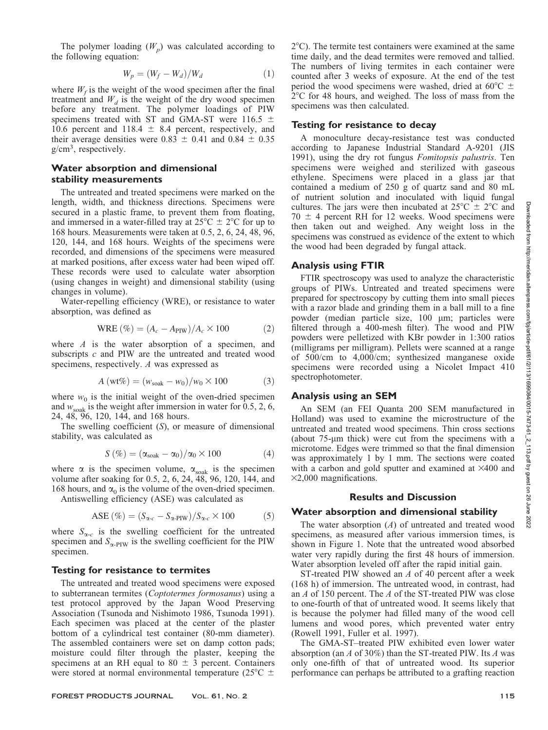Downloaded from http://meridian.allenpress.com/fpj/article-pdf/61/2/113/1699084/0015-7473-61\_2\_113.pdf by guest on 26 June 2022

The polymer loading  $(W_n)$  was calculated according to the following equation:

$$
W_p = (W_f - W_d)/W_d \tag{1}
$$

where  $W_f$  is the weight of the wood specimen after the final treatment and  $W_d$  is the weight of the dry wood specimen before any treatment. The polymer loadings of PIW specimens treated with ST and GMA-ST were 116.5  $\pm$ 10.6 percent and 118.4  $\pm$  8.4 percent, respectively, and their average densities were  $0.83 \pm 0.41$  and  $0.84 \pm 0.35$ g/cm<sup>3</sup> , respectively.

## Water absorption and dimensional stability measurements

The untreated and treated specimens were marked on the length, width, and thickness directions. Specimens were secured in a plastic frame, to prevent them from floating, and immersed in a water-filled tray at  $25^{\circ}$ C  $\pm$  2°C for up to 168 hours. Measurements were taken at 0.5, 2, 6, 24, 48, 96, 120, 144, and 168 hours. Weights of the specimens were recorded, and dimensions of the specimens were measured at marked positions, after excess water had been wiped off. These records were used to calculate water absorption (using changes in weight) and dimensional stability (using changes in volume).

Water-repelling efficiency (WRE), or resistance to water absorption, was defined as

$$
WRE (\%) = (A_c - A_{PIW})/A_c \times 100
$$
 (2)

where  $A$  is the water absorption of a specimen, and subscripts  $c$  and PIW are the untreated and treated wood specimens, respectively. A was expressed as

$$
A(wt\%) = (w_{\text{soak}} - w_0)/w_0 \times 100 \tag{3}
$$

where  $w_0$  is the initial weight of the oven-dried specimen and  $w_{\text{soak}}$  is the weight after immersion in water for 0.5, 2, 6, 24, 48, 96, 120, 144, and 168 hours.

The swelling coefficient  $(S)$ , or measure of dimensional stability, was calculated as

$$
S\left(\% \right) = (\alpha_{soak} - \alpha_0)/\alpha_0 \times 100 \tag{4}
$$

where  $\alpha$  is the specimen volume,  $\alpha_{\text{soak}}$  is the specimen volume after soaking for 0.5, 2, 6, 24, 48, 96, 120, 144, and 168 hours, and  $\alpha_0$  is the volume of the oven-dried specimen.

Antiswelling efficiency (ASE) was calculated as

$$
\text{ASE} \, (\%) = (S_{\alpha-c} - S_{\alpha\text{-PIW}}) / S_{\alpha-c} \times 100 \tag{5}
$$

where  $S_{\alpha-c}$  is the swelling coefficient for the untreated specimen and  $S_{\alpha$ -PIW is the swelling coefficient for the PIW specimen.

#### Testing for resistance to termites

The untreated and treated wood specimens were exposed to subterranean termites (Coptotermes formosanus) using a test protocol approved by the Japan Wood Preserving Association (Tsunoda and Nishimoto 1986, Tsunoda 1991). Each specimen was placed at the center of the plaster bottom of a cylindrical test container (80-mm diameter). The assembled containers were set on damp cotton pads; moisture could filter through the plaster, keeping the specimens at an RH equal to 80  $\pm$  3 percent. Containers were stored at normal environmental temperature ( $25^{\circ}$ C  $\pm$ 

 $2^{\circ}$ C). The termite test containers were examined at the same time daily, and the dead termites were removed and tallied. The numbers of living termites in each container were counted after 3 weeks of exposure. At the end of the test period the wood specimens were washed, dried at  $60^{\circ}$ C  $\pm$  $2^{\circ}$ C for 48 hours, and weighed. The loss of mass from the specimens was then calculated.

#### Testing for resistance to decay

A monoculture decay-resistance test was conducted according to Japanese Industrial Standard A-9201 (JIS 1991), using the dry rot fungus Fomitopsis palustris. Ten specimens were weighed and sterilized with gaseous ethylene. Specimens were placed in a glass jar that contained a medium of 250 g of quartz sand and 80 mL of nutrient solution and inoculated with liquid fungal cultures. The jars were then incubated at  $25^{\circ}\text{C} \pm 2^{\circ}\text{C}$  and  $70 \pm 4$  percent RH for 12 weeks. Wood specimens were then taken out and weighed. Any weight loss in the specimens was construed as evidence of the extent to which the wood had been degraded by fungal attack.

## Analysis using FTIR

FTIR spectroscopy was used to analyze the characteristic groups of PIWs. Untreated and treated specimens were prepared for spectroscopy by cutting them into small pieces with a razor blade and grinding them in a ball mill to a fine powder (median particle size, 100 µm; particles were filtered through a 400-mesh filter). The wood and PIW powders were pelletized with KBr powder in 1:300 ratios (milligrams per milligram). Pellets were scanned at a range of 500/cm to 4,000/cm; synthesized manganese oxide specimens were recorded using a Nicolet Impact 410 spectrophotometer.

## Analysis using an SEM

An SEM (an FEI Quanta 200 SEM manufactured in Holland) was used to examine the microstructure of the untreated and treated wood specimens. Thin cross sections (about  $75$ - $\mu$ m thick) were cut from the specimens with a microtome. Edges were trimmed so that the final dimension was approximately 1 by 1 mm. The sections were coated with a carbon and gold sputter and examined at  $\times$ 400 and  $\times$ 2,000 magnifications.

## Results and Discussion

#### Water absorption and dimensional stability

The water absorption  $(A)$  of untreated and treated wood specimens, as measured after various immersion times, is shown in Figure 1. Note that the untreated wood absorbed water very rapidly during the first 48 hours of immersion. Water absorption leveled off after the rapid initial gain.

ST-treated PIW showed an A of 40 percent after a week (168 h) of immersion. The untreated wood, in contrast, had an A of 150 percent. The A of the ST-treated PIW was close to one-fourth of that of untreated wood. It seems likely that is because the polymer had filled many of the wood cell lumens and wood pores, which prevented water entry (Rowell 1991, Fuller et al. 1997).

The GMA-ST–treated PIW exhibited even lower water absorption (an A of 30%) than the ST-treated PIW. Its A was only one-fifth of that of untreated wood. Its superior performance can perhaps be attributed to a grafting reaction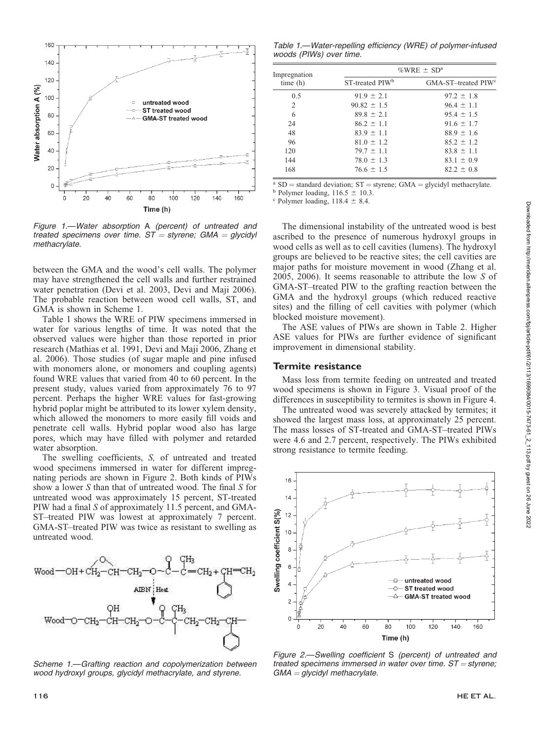

Figure 1.—Water absorption A (percent) of untreated and treated specimens over time.  $ST =$  styrene; GMA  $=$  glycidyl methacrylate.

between the GMA and the wood's cell walls. The polymer may have strengthened the cell walls and further restrained water penetration (Devi et al. 2003, Devi and Maji 2006). The probable reaction between wood cell walls, ST, and GMA is shown in Scheme 1.

Table 1 shows the WRE of PIW specimens immersed in water for various lengths of time. It was noted that the observed values were higher than those reported in prior research (Mathias et al. 1991, Devi and Maji 2006, Zhang et al. 2006). Those studies (of sugar maple and pine infused with monomers alone, or monomers and coupling agents) found WRE values that varied from 40 to 60 percent. In the present study, values varied from approximately 76 to 97 percent. Perhaps the higher WRE values for fast-growing hybrid poplar might be attributed to its lower xylem density, which allowed the monomers to more easily fill voids and penetrate cell walls. Hybrid poplar wood also has large pores, which may have filled with polymer and retarded water absorption.

The swelling coefficients, S, of untreated and treated wood specimens immersed in water for different impregnating periods are shown in Figure 2. Both kinds of PIWs show a lower S than that of untreated wood. The final S for untreated wood was approximately 15 percent, ST-treated PIW had a final S of approximately 11.5 percent, and GMA-ST–treated PIW was lowest at approximately 7 percent. GMA-ST–treated PIW was twice as resistant to swelling as untreated wood.



Scheme 1.—Grafting reaction and copolymerization between wood hydroxyl groups, glycidyl methacrylate, and styrene.

Table 1.—Water-repelling efficiency (WRE) of polymer-infused woods (PIWs) over time.

| Impregnation<br>time(h) | %WRE $\pm$ SD <sup>a</sup>  |                                 |  |
|-------------------------|-----------------------------|---------------------------------|--|
|                         | ST-treated PIW <sup>b</sup> | GMA-ST-treated PIW <sup>c</sup> |  |
| 0.5                     | $91.9 \pm 2.1$              | $97.2 \pm 1.8$                  |  |
| $\overline{c}$          | $90.82 \pm 1.5$             | $96.4 \pm 1.1$                  |  |
| 6                       | $89.8 \pm 2.1$              | $95.4 \pm 1.5$                  |  |
| 24                      | $86.2 \pm 1.1$              | $91.6 \pm 1.7$                  |  |
| 48                      | $83.9 \pm 1.1$              | $88.9 \pm 1.6$                  |  |
| 96                      | $81.0 \pm 1.2$              | $85.2 \pm 1.2$                  |  |
| 120                     | $79.7 \pm 1.1$              | $83.8 \pm 1.1$                  |  |
| 144                     | $78.0 \pm 1.3$              | $83.1 \pm 0.9$                  |  |
| 168                     | $76.6 \pm 1.5$              | $82.2 \pm 0.8$                  |  |

<sup>a</sup> SD = standard deviation; ST = styrene; GMA = glycidyl methacrylate. b Polymer loading, 116.5  $\pm$  10.3. c Polymer loading, 118.4  $\pm$  8.4.

The dimensional instability of the untreated wood is best ascribed to the presence of numerous hydroxyl groups in wood cells as well as to cell cavities (lumens). The hydroxyl groups are believed to be reactive sites; the cell cavities are major paths for moisture movement in wood (Zhang et al. 2005, 2006). It seems reasonable to attribute the low S of GMA-ST–treated PIW to the grafting reaction between the GMA and the hydroxyl groups (which reduced reactive sites) and the filling of cell cavities with polymer (which blocked moisture movement).

The ASE values of PIWs are shown in Table 2. Higher ASE values for PIWs are further evidence of significant improvement in dimensional stability.

## Termite resistance

Mass loss from termite feeding on untreated and treated wood specimens is shown in Figure 3. Visual proof of the differences in susceptibility to termites is shown in Figure 4.

The untreated wood was severely attacked by termites; it showed the largest mass loss, at approximately 25 percent. The mass losses of ST-treated and GMA-ST–treated PIWs were 4.6 and 2.7 percent, respectively. The PIWs exhibited strong resistance to termite feeding.



Figure 2.—Swelling coefficient S (percent) of untreated and treated specimens immersed in water over time.  $ST =$  styrene;  $GMA =$  glycidyl methacrylate.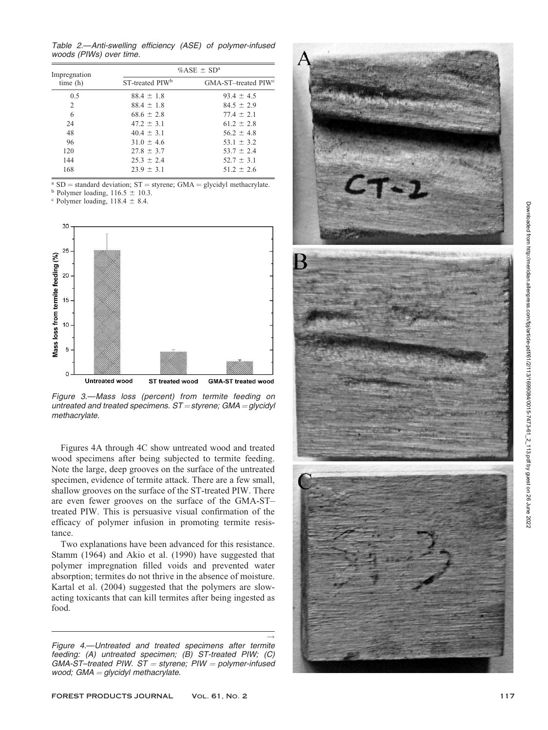Table 2. —Anti-swelling efficiency (ASE) of polymer-infused woods (PIWs) over time.

| Impregnation<br>time(h) | % $ASE \pm SD^a$            |                                 |  |
|-------------------------|-----------------------------|---------------------------------|--|
|                         | ST-treated PIW <sup>b</sup> | GMA-ST-treated PIW <sup>c</sup> |  |
| 0.5                     | $88.4 \pm 1.8$              | $93.4 \pm 4.5$                  |  |
| 2                       | $88.4 \pm 1.8$              | $84.5 \pm 2.9$                  |  |
| 6                       | $68.6 \pm 2.8$              | $77.4 \pm 2.1$                  |  |
| 24                      | $47.2 \pm 3.1$              | $61.2 \pm 2.8$                  |  |
| 48                      | $40.4 \pm 3.1$              | $56.2 \pm 4.8$                  |  |
| 96                      | $31.0 \pm 4.6$              | $53.1 \pm 3.2$                  |  |
| 120                     | $27.8 \pm 3.7$              | $53.7 \pm 2.4$                  |  |
| 144                     | $25.3 \pm 2.4$              | $52.7 \pm 3.1$                  |  |
| 168                     | $23.9 \pm 3.1$              | $51.2 \pm 2.6$                  |  |

 $^{\text{a}}$  SD = standard deviation; ST = styrene; GMA = glycidyl methacrylate.

<sup>b</sup> Polymer loading,  $116.5 \pm 10.3$ .

 $\degree$  Polymer loading, 118.4  $\pm$  8.4.



Figure 3. —Mass loss (percent) from termite feeding on untreated and treated specimens.  $ST =$ styrene; GMA = glycidyl methacrylate.

Figures 4A through 4C show untreated wood and treated wood specimens after being subjected to termite feeding. Note the large, deep grooves on the surface of the untreated specimen, evidence of termite attack. There are a few small, shallow grooves on the surface of the ST-treated PIW. There are even fewer grooves on the surface of the GMA-ST– treated PIW. This is persuasive visual confirmation of the efficacy of polymer infusion in promoting termite resistance.

Two explanations have been advanced for this resistance. Stamm (1964) and Akio et al. (1990) have suggested that polymer impregnation filled voids and prevented water absorption; termites do not thrive in the absence of moisture. Kartal et al. (2004) suggested that the polymers are slowacting toxicants that can kill termites after being ingested as food.

 $\rightarrow$ Figure 4. —Untreated and treated specimens after termite feeding: (A) untreated specimen; (B) ST-treated PIW; (C)  $GMA$ -ST-treated PIW. ST = styrene; PIW = polymer-infused wood; GMA = glycidyl methacrylate.

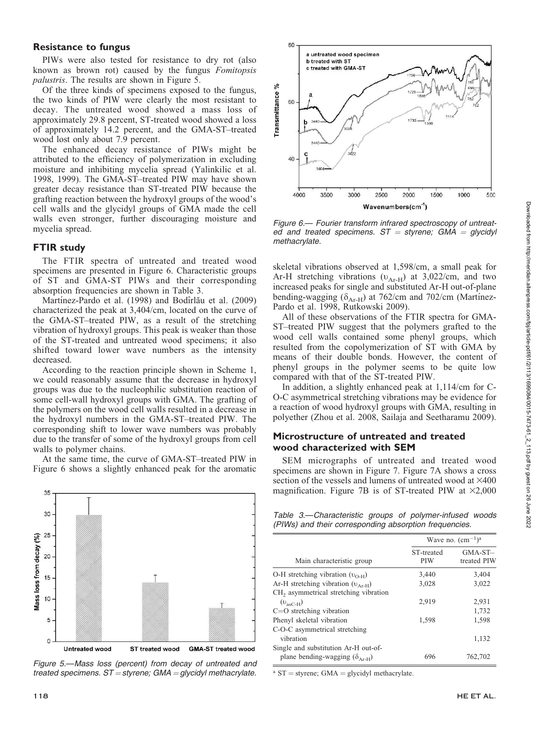## Resistance to fungus

PIWs were also tested for resistance to dry rot (also known as brown rot) caused by the fungus Fomitopsis palustris. The results are shown in Figure 5.

Of the three kinds of specimens exposed to the fungus, the two kinds of PIW were clearly the most resistant to decay. The untreated wood showed a mass loss of approximately 29.8 percent, ST-treated wood showed a loss of approximately 14.2 percent, and the GMA-ST–treated wood lost only about 7.9 percent.

The enhanced decay resistance of PIWs might be attributed to the efficiency of polymerization in excluding moisture and inhibiting mycelia spread (Yalinkilic et al. 1998, 1999). The GMA-ST–treated PIW may have shown greater decay resistance than ST-treated PIW because the grafting reaction between the hydroxyl groups of the wood's cell walls and the glycidyl groups of GMA made the cell walls even stronger, further discouraging moisture and mycelia spread.

## FTIR study

The FTIR spectra of untreated and treated wood specimens are presented in Figure 6. Characteristic groups of ST and GMA-ST PIWs and their corresponding absorption frequencies are shown in Table 3.

Martínez-Pardo et al. (1998) and Bodîrlău et al. (2009) characterized the peak at 3,404/cm, located on the curve of the GMA-ST–treated PIW, as a result of the stretching vibration of hydroxyl groups. This peak is weaker than those of the ST-treated and untreated wood specimens; it also shifted toward lower wave numbers as the intensity decreased.

According to the reaction principle shown in Scheme 1, we could reasonably assume that the decrease in hydroxyl groups was due to the nucleophilic substitution reaction of some cell-wall hydroxyl groups with GMA. The grafting of the polymers on the wood cell walls resulted in a decrease in the hydroxyl numbers in the GMA-ST–treated PIW. The corresponding shift to lower wave numbers was probably due to the transfer of some of the hydroxyl groups from cell walls to polymer chains.

At the same time, the curve of GMA-ST–treated PIW in Figure 6 shows a slightly enhanced peak for the aromatic



Figure 5.—Mass loss (percent) from decay of untreated and treated specimens.  $ST =$ styrene; GMA = glycidyl methacrylate.



Figure 6.— Fourier transform infrared spectroscopy of untreated and treated specimens.  $ST =$  styrene; GMA = glycidyl methacrylate.

skeletal vibrations observed at 1,598/cm, a small peak for Ar-H stretching vibrations ( $v_{Ar-H}$ ) at 3,022/cm, and two increased peaks for single and substituted Ar-H out-of-plane bending-wagging ( $\delta$ <sub>Ar-H</sub>) at 762/cm and 702/cm (Martínez-Pardo et al. 1998, Rutkowski 2009).

All of these observations of the FTIR spectra for GMA-ST–treated PIW suggest that the polymers grafted to the wood cell walls contained some phenyl groups, which resulted from the copolymerization of ST with GMA by means of their double bonds. However, the content of phenyl groups in the polymer seems to be quite low compared with that of the ST-treated PIW.

In addition, a slightly enhanced peak at 1,114/cm for C-O-C asymmetrical stretching vibrations may be evidence for a reaction of wood hydroxyl groups with GMA, resulting in polyether (Zhou et al. 2008, Sailaja and Seetharamu 2009).

## Microstructure of untreated and treated wood characterized with SEM

SEM micrographs of untreated and treated wood specimens are shown in Figure 7. Figure 7A shows a cross section of the vessels and lumens of untreated wood at  $\times 400$ magnification. Figure 7B is of ST-treated PIW at  $\times$ 2,000

Table 3.—Characteristic groups of polymer-infused woods (PIWs) and their corresponding absorption frequencies.

|                                                   | Wave no. $(cm-1)a$       |                          |
|---------------------------------------------------|--------------------------|--------------------------|
| Main characteristic group                         | ST-treated<br><b>PIW</b> | $GMA-ST-$<br>treated PIW |
| O-H stretching vibration $(v_{O-H})$              | 3,440                    | 3,404                    |
| Ar-H stretching vibration $(v_{A_{r-H}})$         | 3,028                    | 3,022                    |
| CH <sub>2</sub> asymmetrical stretching vibration |                          |                          |
| $(v_{\rm scCH})$                                  | 2.919                    | 2,931                    |
| $C=O$ stretching vibration                        |                          | 1,732                    |
| Phenyl skeletal vibration                         | 1,598                    | 1,598                    |
| C-O-C asymmetrical stretching                     |                          |                          |
| vibration                                         |                          | 1,132                    |
| Single and substitution Ar-H out-of-              |                          |                          |
| plane bending-wagging $(\delta_{A_{r,H}})$        | 696                      | 762,702                  |
|                                                   |                          |                          |

 $^{\text{a}}$  ST = styrene; GMA = glycidyl methacrylate.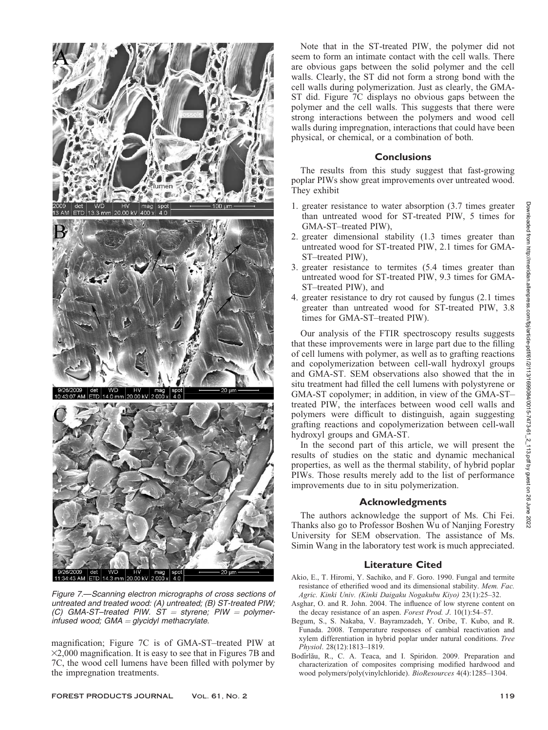

Figure 7.—Scanning electron micrographs of cross sections of untreated and treated wood: (A) untreated; (B) ST-treated PIW; (C) GMA-ST-treated PIW.  $ST =$  styrene; PIW = polymerinfused wood; GMA = glycidyl methacrylate.

magnification; Figure 7C is of GMA-ST–treated PIW at  $\times$ 2,000 magnification. It is easy to see that in Figures 7B and 7C, the wood cell lumens have been filled with polymer by the impregnation treatments.

Note that in the ST-treated PIW, the polymer did not seem to form an intimate contact with the cell walls. There are obvious gaps between the solid polymer and the cell walls. Clearly, the ST did not form a strong bond with the cell walls during polymerization. Just as clearly, the GMA-ST did. Figure 7C displays no obvious gaps between the polymer and the cell walls. This suggests that there were strong interactions between the polymers and wood cell walls during impregnation, interactions that could have been physical, or chemical, or a combination of both.

## **Conclusions**

The results from this study suggest that fast-growing poplar PIWs show great improvements over untreated wood. They exhibit

- 1. greater resistance to water absorption (3.7 times greater than untreated wood for ST-treated PIW, 5 times for GMA-ST–treated PIW),
- 2. greater dimensional stability (1.3 times greater than untreated wood for ST-treated PIW, 2.1 times for GMA-ST–treated PIW),
- 3. greater resistance to termites (5.4 times greater than untreated wood for ST-treated PIW, 9.3 times for GMA-ST–treated PIW), and
- 4. greater resistance to dry rot caused by fungus (2.1 times greater than untreated wood for ST-treated PIW, 3.8 times for GMA-ST–treated PIW).

Our analysis of the FTIR spectroscopy results suggests that these improvements were in large part due to the filling of cell lumens with polymer, as well as to grafting reactions and copolymerization between cell-wall hydroxyl groups and GMA-ST. SEM observations also showed that the in situ treatment had filled the cell lumens with polystyrene or GMA-ST copolymer; in addition, in view of the GMA-ST– treated PIW, the interfaces between wood cell walls and polymers were difficult to distinguish, again suggesting grafting reactions and copolymerization between cell-wall hydroxyl groups and GMA-ST.

In the second part of this article, we will present the results of studies on the static and dynamic mechanical properties, as well as the thermal stability, of hybrid poplar PIWs. Those results merely add to the list of performance improvements due to in situ polymerization.

# Acknowledgments

The authors acknowledge the support of Ms. Chi Fei. Thanks also go to Professor Boshen Wu of Nanjing Forestry University for SEM observation. The assistance of Ms. Simin Wang in the laboratory test work is much appreciated.

# Literature Cited

- Akio, E., T. Hiromi, Y. Sachiko, and F. Goro. 1990. Fungal and termite resistance of etherified wood and its dimensional stability. Mem. Fac. Agric. Kinki Univ. (Kinki Daigaku Nogakubu Kiyo) 23(1):25–32.
- Asghar, O. and R. John. 2004. The influence of low styrene content on the decay resistance of an aspen. Forest Prod. J. 10(1):54–57.
- Begum, S., S. Nakaba, V. Bayramzadeh, Y. Oribe, T. Kubo, and R. Funada. 2008. Temperature responses of cambial reactivation and xylem differentiation in hybrid poplar under natural conditions. Tree Physiol. 28(12):1813–1819.
- Bodîrlău, R., C. A. Teaca, and I. Spiridon. 2009. Preparation and characterization of composites comprising modified hardwood and wood polymers/poly(vinylchloride). BioResources 4(4):1285–1304.